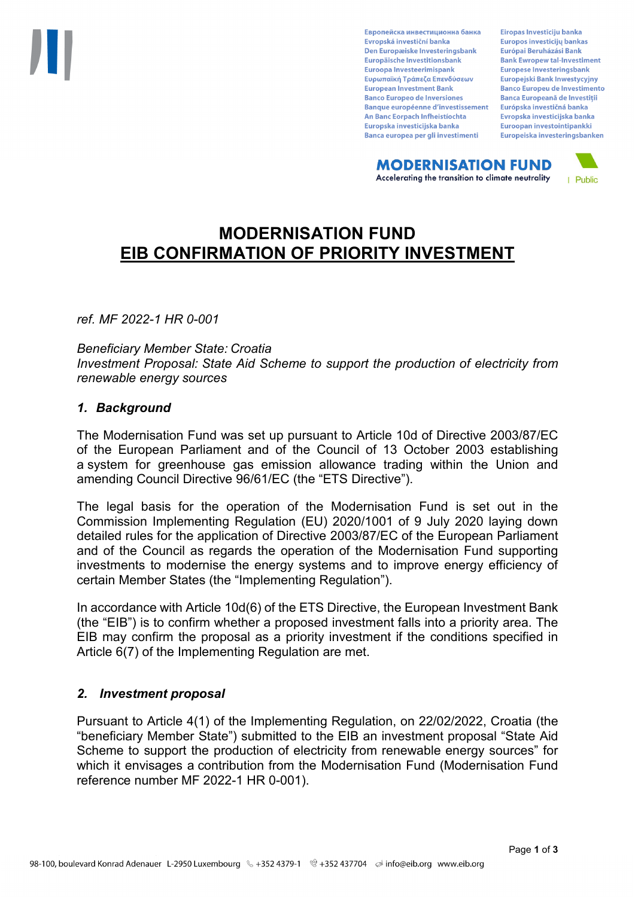Европейска инвестиционна банка Evropská investiční banka Den Europæiske Investeringsbank Europäische Investitionsbank Euroopa Investeerimispank Ευρωπαϊκή Τράπεζα Επενδύσεων **European Investment Bank Banco Europeo de Inversiones Banque européenne d'investissement** An Banc Eorpach Infheistíochta Europska investicijska banka Banca europea per gli investimenti

Eiropas Investīciju banka Europos investicijų bankas Európai Beruházási Bank **Bank Ewropew tal-Investiment** Europese Investeringsbank **Europeiski Bank Inwestycviny Banco Europeu de Investimento Banca Europeană de Investiții** Európska investičná banka Evropska investicijska banka Euroopan investointipankki Europeiska investeringsbanken

**MODERNISATION FUND** Accelerating the transition to climate neutrality



# **MODERNISATION FUND EIB CONFIRMATION OF PRIORITY INVESTMENT**

*ref. MF 2022-1 HR 0-001*

*Beneficiary Member State: Croatia Investment Proposal: State Aid Scheme to support the production of electricity from renewable energy sources*

### *1. Background*

The Modernisation Fund was set up pursuant to Article 10d of Directive 2003/87/EC of the European Parliament and of the Council of 13 October 2003 establishing a system for greenhouse gas emission allowance trading within the Union and amending Council Directive 96/61/EC (the "ETS Directive").

The legal basis for the operation of the Modernisation Fund is set out in the Commission Implementing Regulation (EU) 2020/1001 of 9 July 2020 laying down detailed rules for the application of Directive 2003/87/EC of the European Parliament and of the Council as regards the operation of the Modernisation Fund supporting investments to modernise the energy systems and to improve energy efficiency of certain Member States (the "Implementing Regulation").

In accordance with Article 10d(6) of the ETS Directive, the European Investment Bank (the "EIB") is to confirm whether a proposed investment falls into a priority area. The EIB may confirm the proposal as a priority investment if the conditions specified in Article 6(7) of the Implementing Regulation are met.

### *2. Investment proposal*

Pursuant to Article 4(1) of the Implementing Regulation, on 22/02/2022, Croatia (the "beneficiary Member State") submitted to the EIB an investment proposal "State Aid Scheme to support the production of electricity from renewable energy sources" for which it envisages a contribution from the Modernisation Fund (Modernisation Fund reference number MF 2022-1 HR 0-001).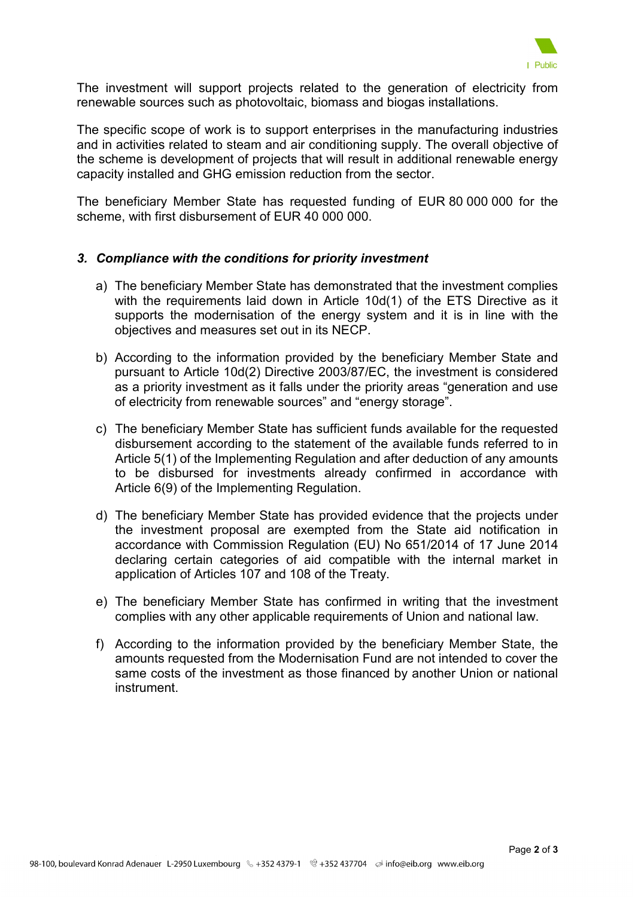

The investment will support projects related to the generation of electricity from renewable sources such as photovoltaic, biomass and biogas installations.

The specific scope of work is to support enterprises in the manufacturing industries and in activities related to steam and air conditioning supply. The overall objective of the scheme is development of projects that will result in additional renewable energy capacity installed and GHG emission reduction from the sector.

The beneficiary Member State has requested funding of EUR 80 000 000 for the scheme, with first disbursement of EUR 40 000 000.

#### *3. Compliance with the conditions for priority investment*

- a) The beneficiary Member State has demonstrated that the investment complies with the requirements laid down in Article 10d(1) of the ETS Directive as it supports the modernisation of the energy system and it is in line with the objectives and measures set out in its NECP.
- b) According to the information provided by the beneficiary Member State and pursuant to Article 10d(2) Directive 2003/87/EC, the investment is considered as a priority investment as it falls under the priority areas "generation and use of electricity from renewable sources" and "energy storage".
- c) The beneficiary Member State has sufficient funds available for the requested disbursement according to the statement of the available funds referred to in Article 5(1) of the Implementing Regulation and after deduction of any amounts to be disbursed for investments already confirmed in accordance with Article 6(9) of the Implementing Regulation.
- d) The beneficiary Member State has provided evidence that the projects under the investment proposal are exempted from the State aid notification in accordance with Commission Regulation (EU) No 651/2014 of 17 June 2014 declaring certain categories of aid compatible with the internal market in application of Articles 107 and 108 of the Treaty.
- e) The beneficiary Member State has confirmed in writing that the investment complies with any other applicable requirements of Union and national law.
- f) According to the information provided by the beneficiary Member State, the amounts requested from the Modernisation Fund are not intended to cover the same costs of the investment as those financed by another Union or national instrument.